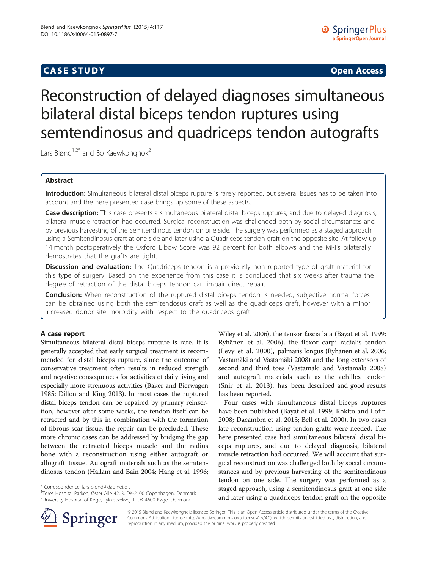# CA S E S TUDY Open Access

# Reconstruction of delayed diagnoses simultaneous bilateral distal biceps tendon ruptures using semtendinosus and quadriceps tendon autografts

Lars Blønd<sup>1,2\*</sup> and Bo Kaewkongnok<sup>2</sup>

# **Abstract**

**Introduction:** Simultaneous bilateral distal biceps rupture is rarely reported, but several issues has to be taken into account and the here presented case brings up some of these aspects.

Case description: This case presents a simultaneous bilateral distal biceps ruptures, and due to delayed diagnosis, bilateral muscle retraction had occurred. Surgical reconstruction was challenged both by social circumstances and by previous harvesting of the Semitendinous tendon on one side. The surgery was performed as a staged approach, using a Semitendinosus graft at one side and later using a Quadriceps tendon graft on the opposite site. At follow-up 14 month postoperatively the Oxford Elbow Score was 92 percent for both elbows and the MRI's bilaterally demostrates that the grafts are tight.

Discussion and evaluation: The Quadriceps tendon is a previously non reported type of graft material for this type of surgery. Based on the experience from this case it is concluded that six weeks after trauma the degree of retraction of the distal biceps tendon can impair direct repair.

**Conclusion:** When reconstruction of the ruptured distal biceps tendon is needed, subjective normal forces can be obtained using both the semitendosus graft as well as the quadriceps graft, however with a minor increased donor site morbidity with respect to the quadriceps graft.

Simultaneous bilateral distal biceps rupture is rare. It is generally accepted that early surgical treatment is recommended for distal biceps rupture, since the outcome of conservative treatment often results in reduced strength and negative consequences for activities of daily living and especially more strenuous activities (Baker and Bierwagen [1985;](#page-3-0) Dillon and King [2013](#page-4-0)). In most cases the ruptured distal biceps tendon can be repaired by primary reinsertion, however after some weeks, the tendon itself can be retracted and by this in combination with the formation of fibrous scar tissue, the repair can be precluded. These more chronic cases can be addressed by bridging the gap between the retracted biceps muscle and the radius bone with a reconstruction using either autograft or allograft tissue. Autograft materials such as the semitendinosus tendon (Hallam and Bain [2004](#page-4-0); Hang et al. [1996](#page-4-0);

\* Correspondence: [lars-blond@dadlnet.dk](mailto:lars-blond@dadlnet.dk) <sup>1</sup>

<sup>1</sup>Teres Hospital Parken, Øster Alle 42, 3, DK-2100 Copenhagen, Denmark 2 University Hospital of Køge, Lykkebækvej 1, DK-4600 Køge, Denmark



Four cases with simultaneous distal biceps ruptures have been published (Bayat et al. [1999](#page-3-0); Rokito and Lofin [2008](#page-4-0); Dacambra et al. [2013;](#page-4-0) Bell et al. [2000](#page-3-0)). In two cases late reconstruction using tendon grafts were needed. The here presented case had simultaneous bilateral distal biceps ruptures, and due to delayed diagnosis, bilateral muscle retraction had occurred. We will account that surgical reconstruction was challenged both by social circumstances and by previous harvesting of the semitendinous tendon on one side. The surgery was performed as a staged approach, using a semitendinosus graft at one side and later using a quadriceps tendon graft on the opposite



© 2015 Blønd and Kaewkongnok; licensee Springer. This is an Open Access article distributed under the terms of the Creative Commons Attribution License (<http://creativecommons.org/licenses/by/4.0>), which permits unrestricted use, distribution, and reproduction in any medium, provided the original work is properly credited.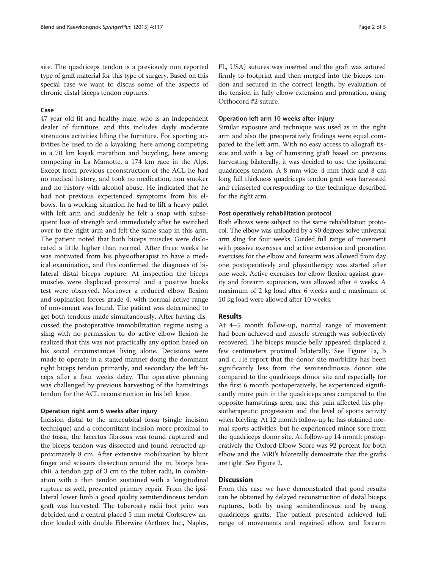site. The quadriceps tendon is a previously non reported type of graft material for this type of surgery. Based on this special case we want to discus some of the aspects of chronic distal biceps tendon ruptures.

### Case

47 year old fit and healthy male, who is an independent dealer of furniture, and this includes dayly moderate strenuous activities lifting the furniture. For sporting activities he used to do a kayaking, here among competing in a 70 km kayak marathon and bicycling, here among competing in La Mamotte, a 174 km race in the Alps. Except from previous reconstruction of the ACL he had no medical history, and took no medication, non smoker and no history with alcohol abuse. He indicated that he had not previous experienced symptoms from his elbows. In a working situation he had to lift a heavy pallet with left arm and suddenly he felt a snap with subsequent loss of strength and immediately after he switched over to the right arm and felt the same snap in this arm. The patient noted that both biceps muscles were dislocated a little higher than normal. After three weeks he was motivated from his physiotherapist to have a medical examination, and this confirmed the diagnosis of bilateral distal biceps rupture. At inspection the biceps muscles were displaced proximal and a positive hooks test were observed. Moreover a reduced elbow flexion and supination forces grade 4, with normal active range of movement was found. The patient was determined to get both tendons made simultaneously. After having discussed the postoperative immobilization regime using a sling with no permission to do active elbow flexion he realized that this was not practically any option based on his social circumstances living alone. Decisions were made to operate in a staged manner doing the dominant right biceps tendon primarily, and secondary the left biceps after a four weeks delay. The operative planning was challenged by previous harvesting of the hamstrings tendon for the ACL reconstruction in his left knee.

### Operation right arm 6 weeks after injury

Incision distal to the antecubital fossa (single incision technique) and a concomitant incision more proximal to the fossa, the lacertus fibrosus was found ruptured and the biceps tendon was dissected and found retracted approximately 8 cm. After extensive mobilization by blunt finger and scissors dissection around the m. biceps brachii, a tendon gap of 3 cm to the tuber radii, in combination with a thin tendon sustained with a longitudinal rupture as well, prevented primary repair. From the ipsilateral lower limb a good quality semitendinosus tendon graft was harvested. The tuberosity radii foot print was debrided and a central placed 5 mm metal Corkscrew anchor loaded with double Fiberwire (Arthrex Inc., Naples, FL, USA) sutures was inserted and the graft was sutured firmly to footprint and then merged into the biceps tendon and secured in the correct length, by evaluation of the tension in fully elbow extension and pronation, using Orthocord #2 suture.

## Operation left arm 10 weeks after injury

Similar exposure and technique was used as in the right arm and also the preoperatively findings were equal compared to the left arm. With no easy access to allograft tissue and with a lag of hamstring graft based on previous harvesting bilaterally, it was decided to use the ipsilateral quadriceps tendon. A 8 mm wide, 4 mm thick and 8 cm long full thickness quadriceps tendon graft was harvested and reinserted corresponding to the technique described for the right arm.

### Post operatively rehabilitation protocol

Both elbows were subject to the same rehabilitation protocol. The elbow was unloaded by a 90 degrees solve universal arm sling for four weeks. Guided full range of movement with passive exercises and active extension and pronation exercises for the elbow and forearm was allowed from day one postoperatively and physiotherapy was started after one week. Active exercises for elbow flexion against gravity and forearm supination, was allowed after 4 weeks. A maximum of 2 kg load after 6 weeks and a maximum of 10 kg load were allowed after 10 weeks.

### **Results**

At 4-5 month follow-up, normal range of movement had been achieved and muscle strength was subjectively recovered. The biceps muscle belly appeared displaced a few centimeters proximal bilaterally. See Figure [1](#page-2-0)a, b and c. He report that the donor site morbidity has been significantly less from the semitendinosus donor site compared to the quadriceps donor site and especially for the first 6 month postoperatively, he experienced significantly more pain in the quadriceps area compared to the opposite hamstrings area, and this pain affected his physiotherapeutic progression and the level of sports activity when bicyling. At 12 month follow-up he has obtained normal sports activities, but he experienced minor sore from the quadriceps donor site. At follow-up 14 month postoperatively the Oxford Elbow Score was 92 percent for both elbow and the MRI's bilaterally demostrate that the grafts are tight. See Figure [2.](#page-2-0)

From this case we have demonstrated that good results can be obtained by delayed reconstruction of distal biceps ruptures, both by using semitendinosus and by using quadriceps grafts. The patient presented achieved full range of movements and regained elbow and forearm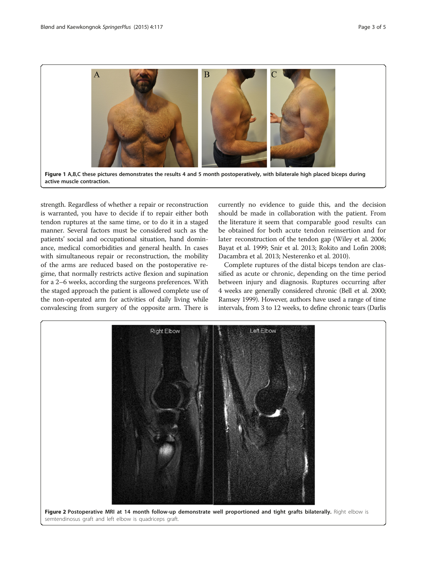<span id="page-2-0"></span>

strength. Regardless of whether a repair or reconstruction is warranted, you have to decide if to repair either both tendon ruptures at the same time, or to do it in a staged manner. Several factors must be considered such as the patients' social and occupational situation, hand dominance, medical comorbidities and general health. In cases with simultaneous repair or reconstruction, the mobility of the arms are reduced based on the postoperative regime, that normally restricts active flexion and supination for a 2–6 weeks, according the surgeons preferences. With the staged approach the patient is allowed complete use of the non-operated arm for activities of daily living while convalescing from surgery of the opposite arm. There is

currently no evidence to guide this, and the decision should be made in collaboration with the patient. From the literature it seem that comparable good results can be obtained for both acute tendon reinsertion and for later reconstruction of the tendon gap (Wiley et al. [2006](#page-4-0); Bayat et al. [1999](#page-3-0); Snir et al. [2013](#page-4-0); Rokito and Lofin [2008](#page-4-0); Dacambra et al. [2013](#page-4-0); Nesterenko et al. [2010](#page-4-0)).

Complete ruptures of the distal biceps tendon are classified as acute or chronic, depending on the time period between injury and diagnosis. Ruptures occurring after 4 weeks are generally considered chronic (Bell et al. [2000](#page-3-0); Ramsey [1999\)](#page-4-0). However, authors have used a range of time intervals, from 3 to 12 weeks, to define chronic tears (Darlis

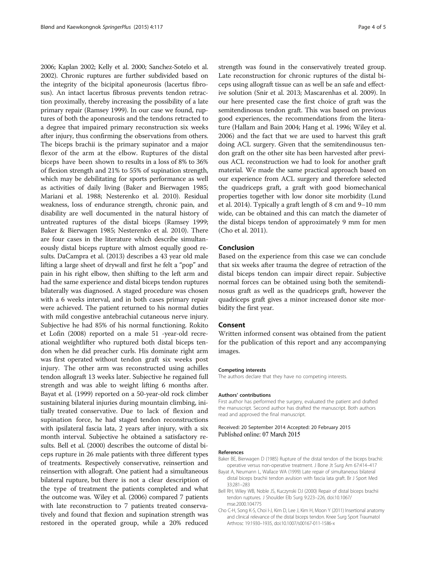<span id="page-3-0"></span>[2006;](#page-4-0) Kaplan [2002](#page-4-0); Kelly et al. [2000](#page-4-0); Sanchez-Sotelo et al. [2002\)](#page-4-0). Chronic ruptures are further subdivided based on the integrity of the bicipital aponeurosis (lacertus fibrosus). An intact lacertus fibrosus prevents tendon retraction proximally, thereby increasing the possibility of a late primary repair (Ramsey [1999\)](#page-4-0). In our case we found, ruptures of both the aponeurosis and the tendons retracted to a degree that impaired primary reconstruction six weeks after injury, thus confirming the observations from others. The biceps brachii is the primary supinator and a major flexor of the arm at the elbow. Ruptures of the distal biceps have been shown to results in a loss of 8% to 36% of flexion strength and 21% to 55% of supination strength, which may be debilitating for sports performance as well as activities of daily living (Baker and Bierwagen 1985; Mariani et al. [1988](#page-4-0); Nesterenko et al. [2010](#page-4-0)). Residual weakness, loss of endurance strength, chronic pain, and disability are well documented in the natural history of untreated ruptures of the distal biceps (Ramsey [1999](#page-4-0); Baker & Bierwagen 1985; Nesterenko et al. [2010\)](#page-4-0). There are four cases in the literature which describe simultaneously distal biceps rupture with almost equally good results. DaCampra et al. ([2013\)](#page-4-0) describes a 43 year old male lifting a large sheet of drywall and first he felt a "pop" and pain in his right elbow, then shifting to the left arm and had the same experience and distal biceps tendon ruptures bilaterally was diagnosed. A staged procedure was chosen with a 6 weeks interval, and in both cases primary repair were achieved. The patient returned to his normal duties with mild congestive antebrachial cutaneous nerve injury. Subjective he had 85% of his normal functioning. Rokito et Lofin ([2008\)](#page-4-0) reported on a male 51 -year-old recreational weightlifter who ruptured both distal biceps tendon when he did preacher curls. His dominate right arm was first operated without tendon graft six weeks post injury. The other arm was reconstructed using achilles tendon allograft 13 weeks later. Subjective he regained full strength and was able to weight lifting 6 months after. Bayat et al. (1999) reported on a 50-year-old rock climber sustaining bilateral injuries during mountain climbing, initially treated conservative. Due to lack of flexion and supination force, he had staged tendon reconstructions with ipsilateral fascia lata, 2 years after injury, with a six month interval. Subjective he obtained a satisfactory results. Bell et al. (2000) describes the outcome of distal biceps rupture in 26 male patients with three different types of treatments. Respectively conservative, reinsertion and reinsertion with allograft. One patient had a simultaneous bilateral rupture, but there is not a clear description of the type of treatment the patients completed and what the outcome was. Wiley et al. ([2006\)](#page-4-0) compared 7 patients with late reconstruction to 7 patients treated conservatively and found that flexion and supination strength was restored in the operated group, while a 20% reduced

strength was found in the conservatively treated group. Late reconstruction for chronic ruptures of the distal biceps using allograft tissue can as well be an safe and effective solution (Snir et al. [2013](#page-4-0); Mascarenhas et al. [2009\)](#page-4-0). In our here presented case the first choice of graft was the semitendinosus tendon graft. This was based on previous good experiences, the recommendations from the literature (Hallam and Bain [2004;](#page-4-0) Hang et al. [1996;](#page-4-0) Wiley et al. [2006\)](#page-4-0) and the fact that we are used to harvest this graft doing ACL surgery. Given that the semitendinousus tendon graft on the other site has been harvested after previous ACL reconstruction we had to look for another graft material. We made the same practical approach based on our experience from ACL surgery and therefore selected the quadriceps graft, a graft with good biomechanical properties together with low donor site morbidity (Lund et al. [2014\)](#page-4-0). Typically a graft length of 8 cm and 9–10 mm wide, can be obtained and this can match the diameter of the distal biceps tendon of approximately 9 mm for men (Cho et al. 2011).

# Conclusion

Based on the experience from this case we can conclude that six weeks after trauma the degree of retraction of the distal biceps tendon can impair direct repair. Subjective normal forces can be obtained using both the semitendinosus graft as well as the quadriceps graft, however the quadriceps graft gives a minor increased donor site morbidity the first year.

## Consent

Written informed consent was obtained from the patient for the publication of this report and any accompanying images.

### Competing interests

The authors declare that they have no competing interests.

### Authors' contributions

First author has performed the surgery, evaluated the patient and drafted the manuscript. Second author has drafted the manuscript. Both authors read and approved the final manuscript.

### Received: 20 September 2014 Accepted: 20 February 2015 Published online: 07 March 2015

### References

- Baker BE, Bierwagen D (1985) Rupture of the distal tendon of the biceps brachii: operative versus non-operative treatment. J Bone Jt Surg Am 67:414–417
- Bayat A, Neumann L, Wallace WA (1999) Late repair of simultaneous bilateral distal biceps brachii tendon avulsion with fascia lata graft. Br J Sport Med 33:281–283
- Bell RH, Wiley WB, Noble JS, Kuczynski DJ (2000) Repair of distal biceps brachii tendon ruptures. J Shoulder Elb Surg 9:223–226, doi:10.1067/ mse.2000.104775
- Cho C-H, Song K-S, Choi I-J, Kim D, Lee J, Kim H, Moon Y (2011) Insertional anatomy and clinical relevance of the distal biceps tendon. Knee Surg Sport Traumatol Arthrosc 19:1930–1935, doi:10.1007/s00167-011-1586-x